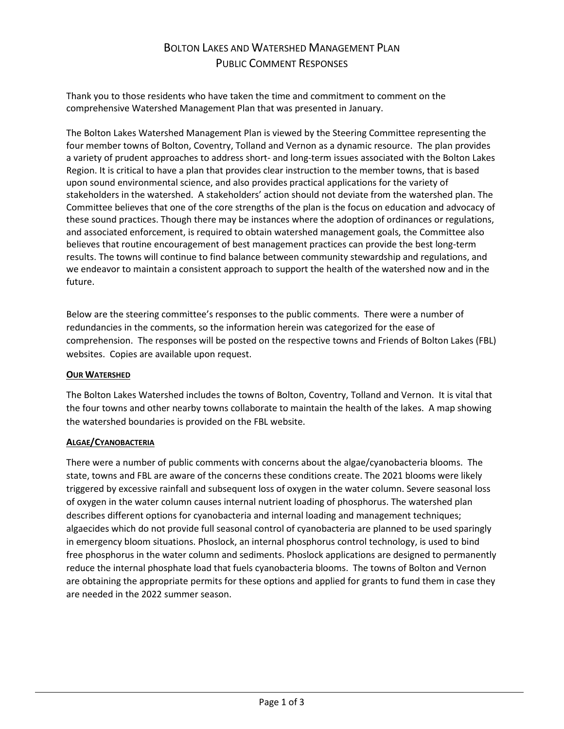# BOLTON LAKES AND WATERSHED MANAGEMENT PLAN PUBLIC COMMENT RESPONSES

Thank you to those residents who have taken the time and commitment to comment on the comprehensive Watershed Management Plan that was presented in January.

The Bolton Lakes Watershed Management Plan is viewed by the Steering Committee representing the four member towns of Bolton, Coventry, Tolland and Vernon as a dynamic resource. The plan provides a variety of prudent approaches to address short- and long-term issues associated with the Bolton Lakes Region. It is critical to have a plan that provides clear instruction to the member towns, that is based upon sound environmental science, and also provides practical applications for the variety of stakeholders in the watershed. A stakeholders' action should not deviate from the watershed plan. The Committee believes that one of the core strengths of the plan is the focus on education and advocacy of these sound practices. Though there may be instances where the adoption of ordinances or regulations, and associated enforcement, is required to obtain watershed management goals, the Committee also believes that routine encouragement of best management practices can provide the best long-term results. The towns will continue to find balance between community stewardship and regulations, and we endeavor to maintain a consistent approach to support the health of the watershed now and in the future.

Below are the steering committee's responses to the public comments. There were a number of redundancies in the comments, so the information herein was categorized for the ease of comprehension. The responses will be posted on the respective towns and Friends of Bolton Lakes (FBL) websites. Copies are available upon request.

#### **OUR WATERSHED**

The Bolton Lakes Watershed includes the towns of Bolton, Coventry, Tolland and Vernon. It is vital that the four towns and other nearby towns collaborate to maintain the health of the lakes. A map showing the watershed boundaries is provided on the FBL website.

#### **ALGAE/CYANOBACTERIA**

There were a number of public comments with concerns about the algae/cyanobacteria blooms. The state, towns and FBL are aware of the concerns these conditions create. The 2021 blooms were likely triggered by excessive rainfall and subsequent loss of oxygen in the water column. Severe seasonal loss of oxygen in the water column causes internal nutrient loading of phosphorus. The watershed plan describes different options for cyanobacteria and internal loading and management techniques; algaecides which do not provide full seasonal control of cyanobacteria are planned to be used sparingly in emergency bloom situations. Phoslock, an internal phosphorus control technology, is used to bind free phosphorus in the water column and sediments. Phoslock applications are designed to permanently reduce the internal phosphate load that fuels cyanobacteria blooms. The towns of Bolton and Vernon are obtaining the appropriate permits for these options and applied for grants to fund them in case they are needed in the 2022 summer season.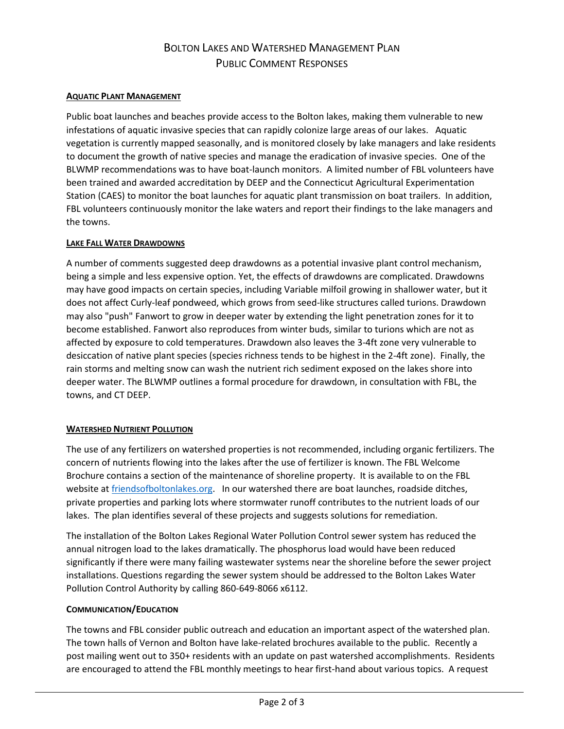# BOLTON LAKES AND WATERSHED MANAGEMENT PLAN PUBLIC COMMENT RESPONSES

### **AQUATIC PLANT MANAGEMENT**

Public boat launches and beaches provide access to the Bolton lakes, making them vulnerable to new infestations of aquatic invasive species that can rapidly colonize large areas of our lakes. Aquatic vegetation is currently mapped seasonally, and is monitored closely by lake managers and lake residents to document the growth of native species and manage the eradication of invasive species. One of the BLWMP recommendations was to have boat-launch monitors. A limited number of FBL volunteers have been trained and awarded accreditation by DEEP and the Connecticut Agricultural Experimentation Station (CAES) to monitor the boat launches for aquatic plant transmission on boat trailers. In addition, FBL volunteers continuously monitor the lake waters and report their findings to the lake managers and the towns.

#### **LAKE FALL WATER DRAWDOWNS**

A number of comments suggested deep drawdowns as a potential invasive plant control mechanism, being a simple and less expensive option. Yet, the effects of drawdowns are complicated. Drawdowns may have good impacts on certain species, including Variable milfoil growing in shallower water, but it does not affect Curly-leaf pondweed, which grows from seed-like structures called turions. Drawdown may also "push" Fanwort to grow in deeper water by extending the light penetration zones for it to become established. Fanwort also reproduces from winter buds, similar to turions which are not as affected by exposure to cold temperatures. Drawdown also leaves the 3-4ft zone very vulnerable to desiccation of native plant species (species richness tends to be highest in the 2-4ft zone). Finally, the rain storms and melting snow can wash the nutrient rich sediment exposed on the lakes shore into deeper water. The BLWMP outlines a formal procedure for drawdown, in consultation with FBL, the towns, and CT DEEP.

#### **WATERSHED NUTRIENT POLLUTION**

The use of any fertilizers on watershed properties is not recommended, including organic fertilizers. The concern of nutrients flowing into the lakes after the use of fertilizer is known. The FBL Welcome Brochure contains a section of the maintenance of shoreline property. It is available to on the FBL website at [friendsofboltonlakes.org.](http://friendsofboltonlakes.org/) In our watershed there are boat launches, roadside ditches, private properties and parking lots where stormwater runoff contributes to the nutrient loads of our lakes. The plan identifies several of these projects and suggests solutions for remediation.

The installation of the Bolton Lakes Regional Water Pollution Control sewer system has reduced the annual nitrogen load to the lakes dramatically. The phosphorus load would have been reduced significantly if there were many failing wastewater systems near the shoreline before the sewer project installations. Questions regarding the sewer system should be addressed to the Bolton Lakes Water Pollution Control Authority by calling 860-649-8066 x6112.

#### **COMMUNICATION/EDUCATION**

The towns and FBL consider public outreach and education an important aspect of the watershed plan. The town halls of Vernon and Bolton have lake-related brochures available to the public. Recently a post mailing went out to 350+ residents with an update on past watershed accomplishments. Residents are encouraged to attend the FBL monthly meetings to hear first-hand about various topics. A request